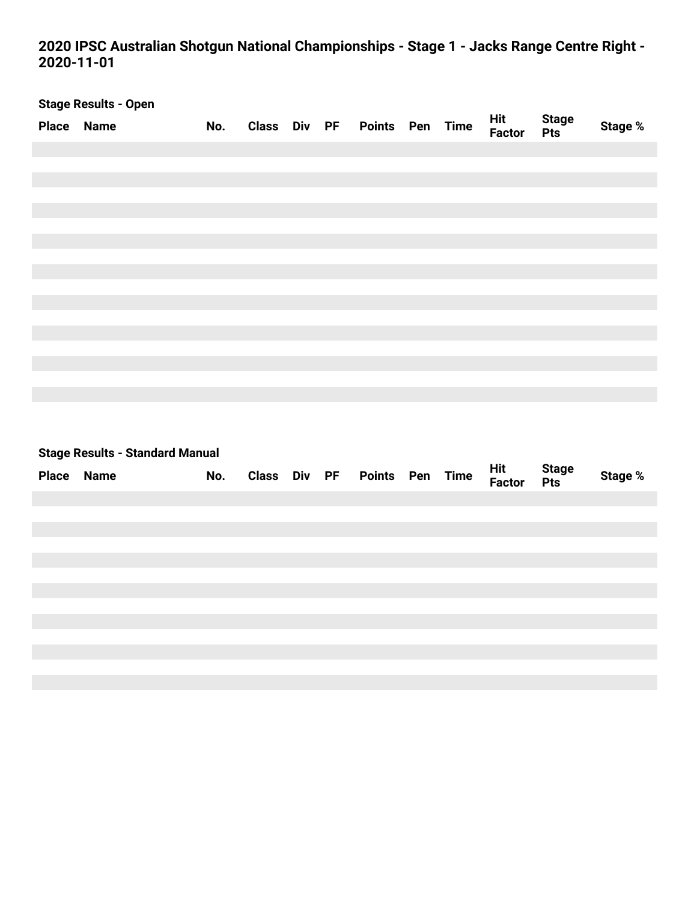**2020 IPSC Australian Shotgun National Championships - Stage 1 - Jacks Range Centre Right - 2020-11-01**

| <b>Stage Results - Open</b> |  |  |  |  |                                  |  |  |               |                            |         |
|-----------------------------|--|--|--|--|----------------------------------|--|--|---------------|----------------------------|---------|
| Place Name                  |  |  |  |  | No. Class Div PF Points Pen Time |  |  | Hit<br>Factor | <b>Stage</b><br><b>Pts</b> | Stage % |
|                             |  |  |  |  |                                  |  |  |               |                            |         |
|                             |  |  |  |  |                                  |  |  |               |                            |         |
|                             |  |  |  |  |                                  |  |  |               |                            |         |
|                             |  |  |  |  |                                  |  |  |               |                            |         |
|                             |  |  |  |  |                                  |  |  |               |                            |         |
|                             |  |  |  |  |                                  |  |  |               |                            |         |
|                             |  |  |  |  |                                  |  |  |               |                            |         |
|                             |  |  |  |  |                                  |  |  |               |                            |         |
|                             |  |  |  |  |                                  |  |  |               |                            |         |
|                             |  |  |  |  |                                  |  |  |               |                            |         |
|                             |  |  |  |  |                                  |  |  |               |                            |         |
|                             |  |  |  |  |                                  |  |  |               |                            |         |
|                             |  |  |  |  |                                  |  |  |               |                            |         |
|                             |  |  |  |  |                                  |  |  |               |                            |         |
|                             |  |  |  |  |                                  |  |  |               |                            |         |
|                             |  |  |  |  |                                  |  |  |               |                            |         |
|                             |  |  |  |  |                                  |  |  |               |                            |         |

| Place Name | No. |  | Class Div PF Points Pen Time |  | Hit Stag<br>Factor Pts | <b>Stage</b> | Stage % |
|------------|-----|--|------------------------------|--|------------------------|--------------|---------|
|            |     |  |                              |  |                        |              |         |
|            |     |  |                              |  |                        |              |         |
|            |     |  |                              |  |                        |              |         |
|            |     |  |                              |  |                        |              |         |
|            |     |  |                              |  |                        |              |         |
|            |     |  |                              |  |                        |              |         |
|            |     |  |                              |  |                        |              |         |
|            |     |  |                              |  |                        |              |         |
|            |     |  |                              |  |                        |              |         |
|            |     |  |                              |  |                        |              |         |
|            |     |  |                              |  |                        |              |         |
|            |     |  |                              |  |                        |              |         |
|            |     |  |                              |  |                        |              |         |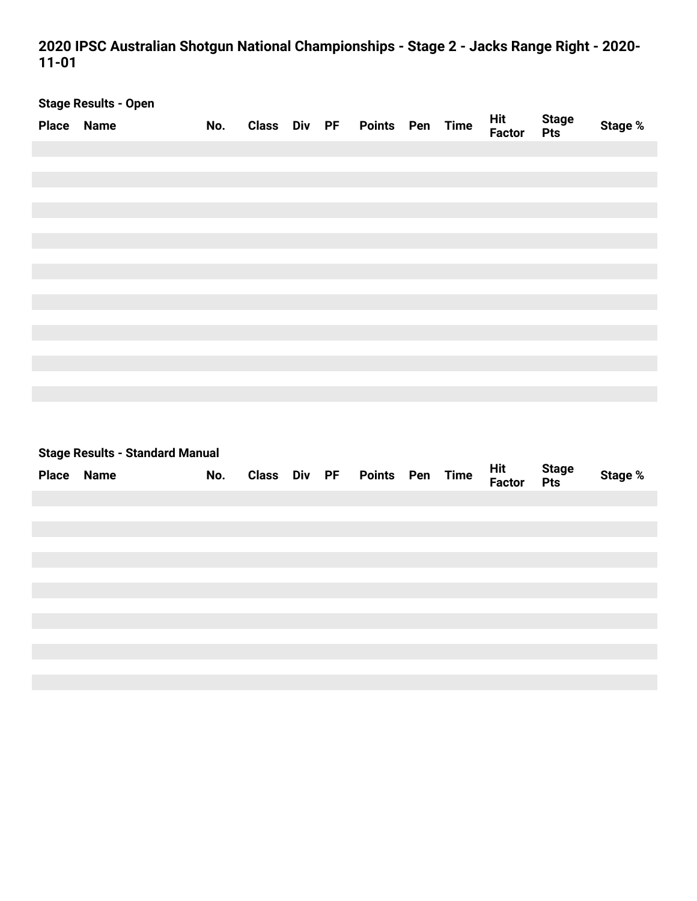**2020 IPSC Australian Shotgun National Championships - Stage 2 - Jacks Range Right - 2020- 11-01**

| <b>Stage Results - Open</b> |     |  |  |  |                              |  |  |                      |                            |         |  |
|-----------------------------|-----|--|--|--|------------------------------|--|--|----------------------|----------------------------|---------|--|
| Place Name                  | No. |  |  |  | Class Div PF Points Pen Time |  |  | Hit<br><b>Factor</b> | <b>Stage</b><br><b>Pts</b> | Stage % |  |
|                             |     |  |  |  |                              |  |  |                      |                            |         |  |
|                             |     |  |  |  |                              |  |  |                      |                            |         |  |
|                             |     |  |  |  |                              |  |  |                      |                            |         |  |
|                             |     |  |  |  |                              |  |  |                      |                            |         |  |
|                             |     |  |  |  |                              |  |  |                      |                            |         |  |
|                             |     |  |  |  |                              |  |  |                      |                            |         |  |
|                             |     |  |  |  |                              |  |  |                      |                            |         |  |
|                             |     |  |  |  |                              |  |  |                      |                            |         |  |
|                             |     |  |  |  |                              |  |  |                      |                            |         |  |
|                             |     |  |  |  |                              |  |  |                      |                            |         |  |
|                             |     |  |  |  |                              |  |  |                      |                            |         |  |
|                             |     |  |  |  |                              |  |  |                      |                            |         |  |
|                             |     |  |  |  |                              |  |  |                      |                            |         |  |
|                             |     |  |  |  |                              |  |  |                      |                            |         |  |
|                             |     |  |  |  |                              |  |  |                      |                            |         |  |
|                             |     |  |  |  |                              |  |  |                      |                            |         |  |
|                             |     |  |  |  |                              |  |  |                      |                            |         |  |

| Place Name |  |  | No. Class Div PF Points Pen Time |  | Hit Stage<br>Factor Pts | Stage % |
|------------|--|--|----------------------------------|--|-------------------------|---------|
|            |  |  |                                  |  |                         |         |
|            |  |  |                                  |  |                         |         |
|            |  |  |                                  |  |                         |         |
|            |  |  |                                  |  |                         |         |
|            |  |  |                                  |  |                         |         |
|            |  |  |                                  |  |                         |         |
|            |  |  |                                  |  |                         |         |
|            |  |  |                                  |  |                         |         |
|            |  |  |                                  |  |                         |         |
|            |  |  |                                  |  |                         |         |
|            |  |  |                                  |  |                         |         |
|            |  |  |                                  |  |                         |         |
|            |  |  |                                  |  |                         |         |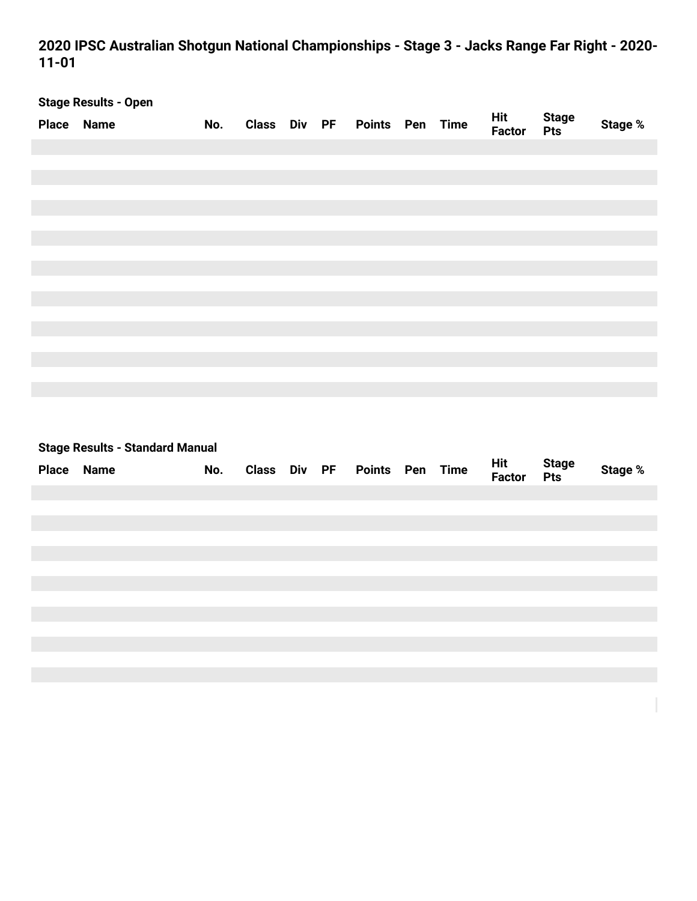**2020 IPSC Australian Shotgun National Championships - Stage 3 - Jacks Range Far Right - 2020- 11-01**

| <b>Stage Results - Open</b> |  |  |                                  |  |                          |              |         |
|-----------------------------|--|--|----------------------------------|--|--------------------------|--------------|---------|
| Place Name                  |  |  | No. Class Div PF Points Pen Time |  | <b>Hit</b><br>Factor Pts | <b>Stage</b> | Stage % |
|                             |  |  |                                  |  |                          |              |         |
|                             |  |  |                                  |  |                          |              |         |
|                             |  |  |                                  |  |                          |              |         |
|                             |  |  |                                  |  |                          |              |         |
|                             |  |  |                                  |  |                          |              |         |
|                             |  |  |                                  |  |                          |              |         |
|                             |  |  |                                  |  |                          |              |         |
|                             |  |  |                                  |  |                          |              |         |
|                             |  |  |                                  |  |                          |              |         |
|                             |  |  |                                  |  |                          |              |         |
|                             |  |  |                                  |  |                          |              |         |
|                             |  |  |                                  |  |                          |              |         |
|                             |  |  |                                  |  |                          |              |         |
|                             |  |  |                                  |  |                          |              |         |
|                             |  |  |                                  |  |                          |              |         |
|                             |  |  |                                  |  |                          |              |         |

| Place Name |  |  | No. Class Div PF Points Pen Time |  | Hit Stage<br>Factor Pts | Stage % |
|------------|--|--|----------------------------------|--|-------------------------|---------|
|            |  |  |                                  |  |                         |         |
|            |  |  |                                  |  |                         |         |
|            |  |  |                                  |  |                         |         |
|            |  |  |                                  |  |                         |         |
|            |  |  |                                  |  |                         |         |
|            |  |  |                                  |  |                         |         |
|            |  |  |                                  |  |                         |         |
|            |  |  |                                  |  |                         |         |
|            |  |  |                                  |  |                         |         |
|            |  |  |                                  |  |                         |         |
|            |  |  |                                  |  |                         |         |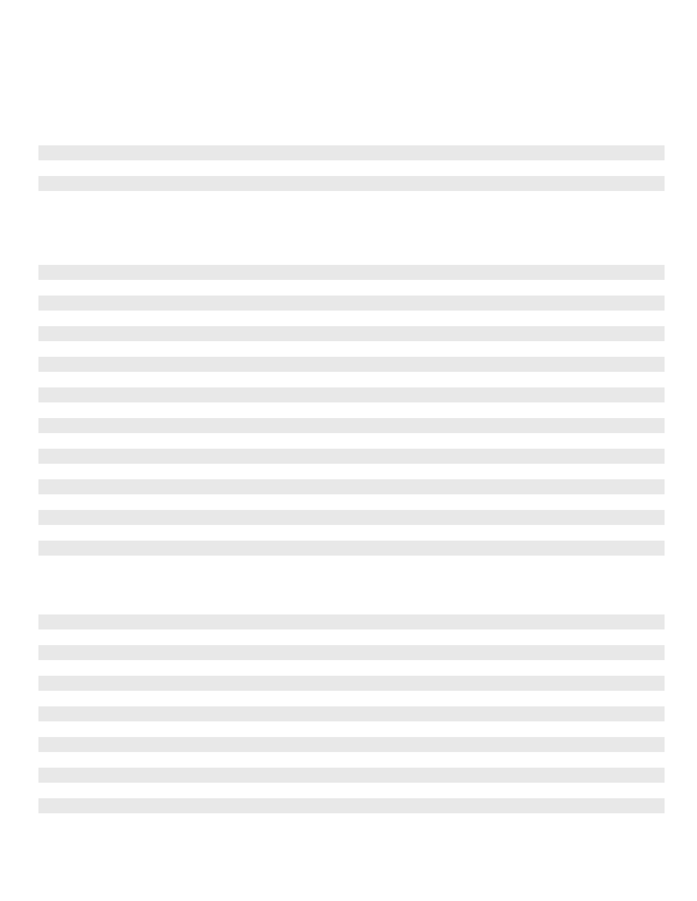| <b>Contract</b> |  |  |  |
|-----------------|--|--|--|
|                 |  |  |  |
|                 |  |  |  |
|                 |  |  |  |
|                 |  |  |  |
|                 |  |  |  |
|                 |  |  |  |
|                 |  |  |  |
|                 |  |  |  |
|                 |  |  |  |
|                 |  |  |  |
|                 |  |  |  |
|                 |  |  |  |
|                 |  |  |  |
|                 |  |  |  |
|                 |  |  |  |
|                 |  |  |  |
|                 |  |  |  |
|                 |  |  |  |
|                 |  |  |  |
|                 |  |  |  |
|                 |  |  |  |
|                 |  |  |  |
|                 |  |  |  |
|                 |  |  |  |
|                 |  |  |  |
|                 |  |  |  |
|                 |  |  |  |
|                 |  |  |  |
|                 |  |  |  |
|                 |  |  |  |
|                 |  |  |  |
|                 |  |  |  |
|                 |  |  |  |
|                 |  |  |  |
|                 |  |  |  |
|                 |  |  |  |
|                 |  |  |  |
|                 |  |  |  |
|                 |  |  |  |
|                 |  |  |  |
|                 |  |  |  |
|                 |  |  |  |
|                 |  |  |  |
|                 |  |  |  |
|                 |  |  |  |
|                 |  |  |  |
|                 |  |  |  |
|                 |  |  |  |
|                 |  |  |  |
|                 |  |  |  |
|                 |  |  |  |
|                 |  |  |  |
|                 |  |  |  |
|                 |  |  |  |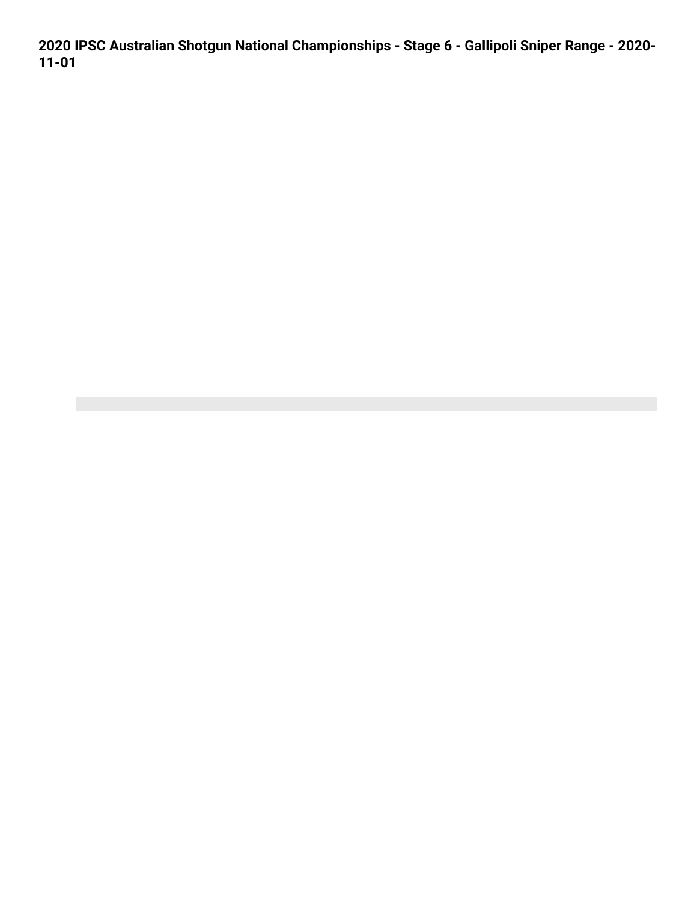**2020 IPSC Australian Shotgun National Championships - Stage 6 - Gallipoli Sniper Range - 2020- 11-01**